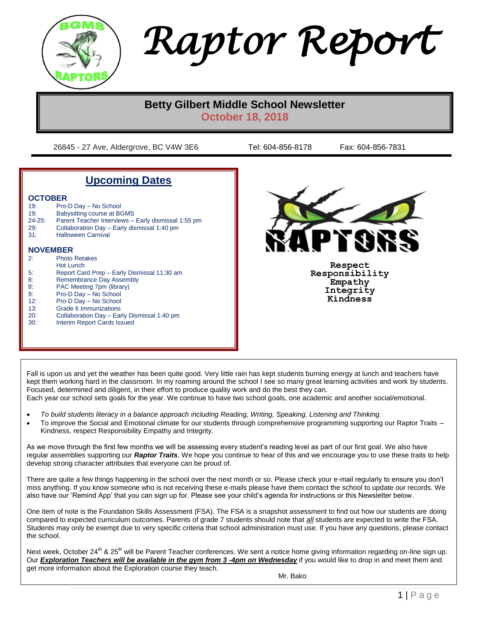

*Raptor Report*

# **Betty Gilbert Middle School Newsletter October 18, 2018**

26845 - 27 Ave, Aldergrove, BC V4W 3E6 Tel: 604-856-8178 Fax: 604-856-7831

# **Upcoming Dates**

#### **OCTOBER**

| 19:             | Pro-D Day - No School                               |  |  |
|-----------------|-----------------------------------------------------|--|--|
| 19:             | <b>Babysitting course at BGMS</b>                   |  |  |
| $24 - 25:$      | Parent Teacher Interviews - Early dismissal 1:55 pm |  |  |
| 29:             | Collaboration Day - Early dismissal 1:40 pm         |  |  |
| 31:             | <b>Halloween Carnival</b>                           |  |  |
|                 |                                                     |  |  |
| <b>NOVEMBER</b> |                                                     |  |  |
| 2:              | <b>Photo Retakes</b>                                |  |  |
|                 | Hot Lunch                                           |  |  |
| 5:              | Report Card Prep - Early Dismissal 11:30 am         |  |  |
| 8:              | Remembrance Day Assembly                            |  |  |
| 8:              | PAC Meeting 7pm (library)                           |  |  |
| 9:              | Pro-D Day - No School                               |  |  |
| 12:             | Pro-D Day - No School                               |  |  |
| 13:             | Grade 6 Immunizations                               |  |  |
| י∩י             | Collaboration Day Early Diemiccal 1:40 pm           |  |  |

20: Collaboration Day – Early Dismissal 1:40 pm 30: Interim Report Cards Issued



**Respect Responsibility Empathy Integrity Kindness**

Fall is upon us and yet the weather has been quite good. Very little rain has kept students burning energy at lunch and teachers have kept them working hard in the classroom. In my roaming around the school I see so many great learning activities and work by students. Focused, determined and diligent, in their effort to produce quality work and do the best they can. Each year our school sets goals for the year. We continue to have two school goals, one academic and another social/emotional.

- *To build students literacy in a balance approach including Reading, Writing, Speaking, Listening and Thinking.*
- To improve the Social and Emotional climate for our students through comprehensive programming supporting our Raptor Traits Kindness, respect Responsibility Empathy and Integrity.

As we move through the first few months we will be assessing every student's reading level as part of our first goal. We also have regular assemblies supporting our *Raptor Traits*. We hope you continue to hear of this and we encourage you to use these traits to help develop strong character attributes that everyone can be proud of.

There are quite a few things happening in the school over the next month or so. Please check your e-mail regularly to ensure you don't miss anything. If you know someone who is not receiving these e-mails please have them contact the school to update our records. We also have our 'Remind App' that you can sign up for. Please see your child's agenda for instructions or this Newsletter below.

One item of note is the Foundation Skills Assessment (FSA). The FSA is a snapshot assessment to find out how our students are doing compared to expected curriculum outcomes. Parents of grade 7 students should note that *all* students are expected to write the FSA. Students may only be exempt due to very specific criteria that school administration must use. If you have any questions, please contact the school.

Next week, October 24<sup>th</sup> & 25<sup>th</sup> will be Parent Teacher conferences. We sent a notice home giving information regarding on-line sign up. Our **Exploration Teachers will be available in the gym from 3 -4pm on Wednesday** if you would like to drop in and meet them and get more information about the Exploration course they teach.

Mr. Bako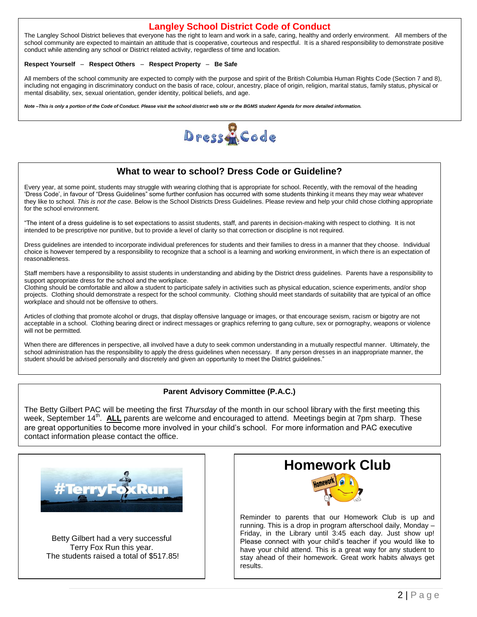#### **Langley School District Code of Conduct**

The Langley School District believes that everyone has the right to learn and work in a safe, caring, healthy and orderly environment. All members of the school community are expected to maintain an attitude that is cooperative, courteous and respectful. It is a shared responsibility to demonstrate positive conduct while attending any school or District related activity, regardless of time and location.

#### **Respect Yourself** – **Respect Others** – **Respect Property** – **Be Safe**

All members of the school community are expected to comply with the purpose and spirit of the British Columbia Human Rights Code (Section 7 and 8), including not engaging in discriminatory conduct on the basis of race, colour, ancestry, place of origin, religion, marital status, family status, physical or mental disability, sex, sexual orientation, gender identity, political beliefs, and age.

*Note –This is only a portion of the Code of Conduct. Please visit the school district web site or the BGMS student Agenda for more detailed information.*



## **What to wear to school? Dress Code or Guideline?**

Every year, at some point, students may struggle with wearing clothing that is appropriate for school. Recently, with the removal of the heading 'Dress Code', in favour of "Dress Guidelines" some further confusion has occurred with some students thinking it means they may wear whatever they like to school. *This is not the case*. Below is the School Districts Dress Guidelines. Please review and help your child chose clothing appropriate for the school environment.

"The intent of a dress guideline is to set expectations to assist students, staff, and parents in decision-making with respect to clothing. It is not intended to be prescriptive nor punitive, but to provide a level of clarity so that correction or discipline is not required.

Dress guidelines are intended to incorporate individual preferences for students and their families to dress in a manner that they choose. Individual choice is however tempered by a responsibility to recognize that a school is a learning and working environment, in which there is an expectation of reasonableness.

Staff members have a responsibility to assist students in understanding and abiding by the District dress guidelines. Parents have a responsibility to support appropriate dress for the school and the workplace.

Clothing should be comfortable and allow a student to participate safely in activities such as physical education, science experiments, and/or shop projects. Clothing should demonstrate a respect for the school community. Clothing should meet standards of suitability that are typical of an office workplace and should not be offensive to others.

Articles of clothing that promote alcohol or drugs, that display offensive language or images, or that encourage sexism, racism or bigotry are not acceptable in a school. Clothing bearing direct or indirect messages or graphics referring to gang culture, sex or pornography, weapons or violence will not be permitted.

When there are differences in perspective, all involved have a duty to seek common understanding in a mutually respectful manner. Ultimately, the school administration has the responsibility to apply the dress guidelines when necessary. If any person dresses in an inappropriate manner, the student should be advised personally and discretely and given an opportunity to meet the District guidelines."

#### **Parent Advisory Committee (P.A.C.)**

The Betty Gilbert PAC will be meeting the first *Thursday* of the month in our school library with the first meeting this week, September 14<sup>th</sup>. ALL parents are welcome and encouraged to attend. Meetings begin at 7pm sharp. These are great opportunities to become more involved in your child's school. For more information and PAC executive contact information please contact the office.



Betty Gilbert had a very successful Terry Fox Run this year. The students raised a total of \$517.85!



Reminder to parents that our Homework Club is up and running. This is a drop in program afterschool daily, Monday – Friday, in the Library until 3:45 each day. Just show up! Please connect with your child's teacher if you would like to have your child attend. This is a great way for any student to stay ahead of their homework. Great work habits always get results.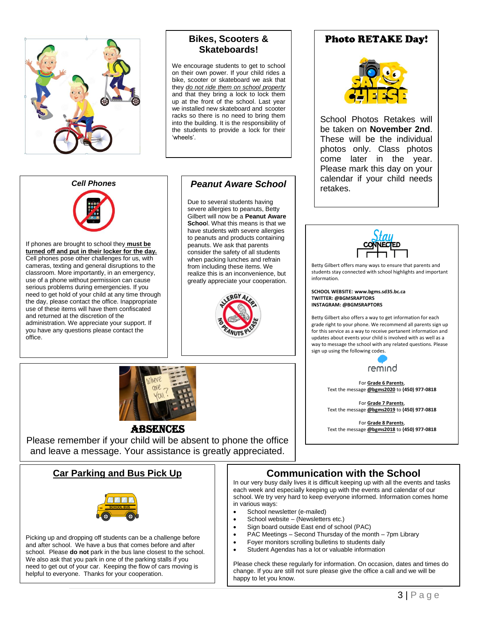

# **Bikes, Scooters & Skateboards!**

We encourage students to get to school on their own power. If your child rides a bike, scooter or skateboard we ask that they *do not ride them on school property* and that they bring a lock to lock them up at the front of the school. Last year we installed new skateboard and scooter racks so there is no need to bring them into the building. It is the responsibility of the students to provide a lock for their 'wheels'.

### *Cell Phones*



If phones are brought to school they **must be turned off and put in their locker for the day.** Cell phones pose other challenges for us, with cameras, texting and general disruptions to the classroom. More importantly, in an emergency, use of a phone without permission can cause serious problems during emergencies. If you need to get hold of your child at any time through the day, please contact the office. Inappropriate use of these items will have them confiscated and returned at the discretion of the administration. We appreciate your support. If you have any questions please contact the office.

# *Peanut Aware School*

Due to several students having severe allergies to peanuts, Betty Gilbert will now be a **Peanut Aware Schoo**l. What this means is that we have students with severe allergies to peanuts and products containing peanuts. We ask that parents consider the safety of all students when packing lunches and refrain from including these items. We realize this is an inconvenience, but greatly appreciate your cooperation.



# **Photo RETAKE Day!**



School Photos Retakes will be taken on **November 2nd**. These will be the individual photos only. Class photos come later in the year. Please mark this day on your calendar if your child needs retakes.



Betty Gilbert offers many ways to ensure that parents and students stay connected with school highlights and important information.

**SCHOOL WEBSITE: www.bgms.sd35.bc.ca TWITTER: @BGMSRAPTORS INSTAGRAM: @BGMSRAPTORS**

Betty Gilbert also offers a way to get information for each grade right to your phone. We recommend all parents sign up for this service as a way to receive pertanent information and updates about events your child is involved with as well as a way to message the school with any related questions. Please sign up using the following codes.



For **Grade 6 Parents**, Text the message **@bgms2020** to **(450) 977-0818**

For **Grade 7 Parents**, Text the message **@bgms2019** to **(450) 977-0818**

For **Grade 8 Parents**, Text the message **@bgms2018** to **(450) 977-0818**



#### **ABSENCES**

Please remember if your child will be absent to phone the office and leave a message. Your assistance is greatly appreciated.

# **Car Parking and Bus Pick Up**



Picking up and dropping off students can be a challenge before and after school. We have a bus that comes before and after school. Please **do not** park in the bus lane closest to the school. We also ask that you park in one of the parking stalls if you need to get out of your car. Keeping the flow of cars moving is helpful to everyone. Thanks for your cooperation.

# **Communication with the School**

In our very busy daily lives it is difficult keeping up with all the events and tasks each week and especially keeping up with the events and calendar of our school. We try very hard to keep everyone informed. Information comes home in various ways:

- School newsletter (e-mailed)
- School website (Newsletters etc.)
- Sign board outside East end of school (PAC)
- PAC Meetings Second Thursday of the month 7pm Library
- Foyer monitors scrolling bulletins to students daily
- Student Agendas has a lot or valuable information

Please check these regularly for information. On occasion, dates and times do change. If you are still not sure please give the office a call and we will be happy to let you know.